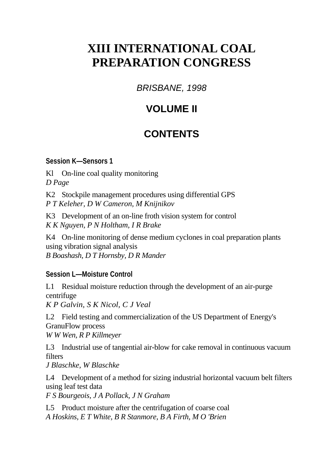# **XIII INTERNATIONAL COAL PREPARATION CONGRESS**

*BRISBANE, 1998* 

# **VOLUME II**

# **CONTENTS**

#### **Session K—Sensors 1**

Kl On-line coal quality monitoring *D Page* 

K2 Stockpile management procedures using differential GPS *P T Keleher, D W Cameron, M Knijnikov* 

K3 Development of an on-line froth vision system for control *K K Nguyen, P N Holtham, I R Brake* 

K4 On-line monitoring of dense medium cyclones in coal preparation plants using vibration signal analysis *B Boashash, D T Hornsby, D R Mander* 

### **Session L—Moisture Control**

L1 Residual moisture reduction through the development of an air-purge centrifuge

*K P Galvin, S K Nicol, C J Veal*

L2 Field testing and commercialization of the US Department of Energy's GranuFlow process

*W W Wen, R P Killmeyer* 

L3 Industrial use of tangential air-blow for cake removal in continuous vacuum filters

*J Blaschke, W Blaschke* 

L4 Development of a method for sizing industrial horizontal vacuum belt filters using leaf test data

*F S Bourgeois, J A Pollack, J N Graham* 

L5 Product moisture after the centrifugation of coarse coal *A Hoskins, E T White, B R Stanmore, B A Firth, M O 'Brien*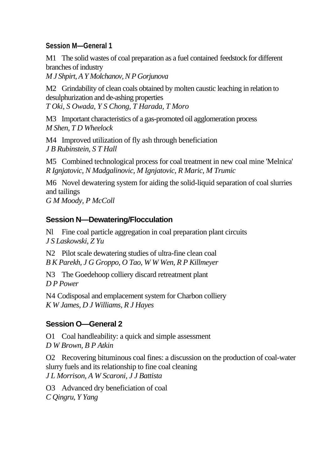#### **Session M—General 1**

M1 The solid wastes of coal preparation as a fuel contained feedstock for different branches of industry

*M J Shpirt, A Y Molchanov, N P Gorjunova* 

M<sub>2</sub> Grindability of clean coals obtained by molten caustic leaching in relation to desulphurization and de-ashing properties *T Oki, S Owada, Y S Chong, T Harada, T Moro* 

M3 Important characteristics of a gas-promoted oil agglomeration process *M Shen, T D Wheelock* 

M4 Improved utilization of fly ash through beneficiation *J B Rubinstein, S T Hall* 

M5 Combined technological process for coal treatment in new coal mine 'Melnica' *R Ignjatovic, N Madgalinovic, M Ignjatovic, R Maric, M Trumic* 

M6 Novel dewatering system for aiding the solid-liquid separation of coal slurries and tailings

*G M Moody, P McColl* 

#### **Session N—Dewatering/Flocculation**

Nl Fine coal particle aggregation in coal preparation plant circuits *J S Laskowski, Z Yu* 

N2 Pilot scale dewatering studies of ultra-fine clean coal *B K Parekh, J G Groppo, O Tao, W W Wen, R P Killmeyer* 

N3 The Goedehoop colliery discard retreatment plant *D P Power* 

N4 Codisposal and emplacement system for Charbon colliery *K W James, D J Williams, R J Hayes* 

### **Session O—General 2**

O1 Coal handleability: a quick and simple assessment *D W Brown, B P Atkin* 

O2 Recovering bituminous coal fines: a discussion on the production of coal-water slurry fuels and its relationship to fine coal cleaning *J L Morrison, A W Scaroni, J J Battista* 

O3 Advanced dry beneficiation of coal *C Qingru, Y Yang*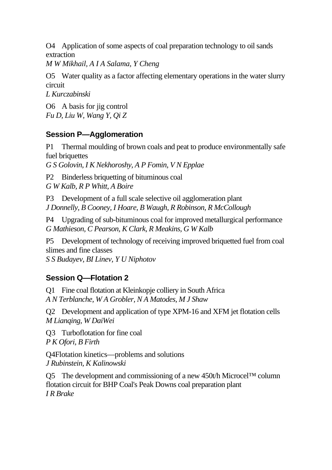O4 Application of some aspects of coal preparation technology to oil sands extraction

*M W Mikhail, A I A Salama, Y Cheng* 

O5 Water quality as a factor affecting elementary operations in the water slurry circuit

*L Kurczabinski* 

O6 A basis for jig control *Fu D, Liu W, Wang Y, Qi Z* 

### **Session P—Agglomeration**

P1 Thermal moulding of brown coals and peat to produce environmentally safe fuel briquettes

*G S Golovin, I K Nekhoroshy, A P Fomin, V N Epplae* 

P2 Binderless briquetting of bituminous coal

*G W Kalb, R P Whitt, A Boire* 

P3 Development of a full scale selective oil agglomeration plant *J Donnelly, B Cooney, I Hoare, B Waugh, R Robinson, R McCollough* 

P4 Upgrading of sub-bituminous coal for improved metallurgical performance *G Mathieson, C Pearson, K Clark, R Meakins, G W Kalb* 

P5 Development of technology of receiving improved briquetted fuel from coal slimes and fine classes

*S S Budayev, BI Linev, Y U Niphotov* 

## **Session Q—Flotation 2**

Q1 Fine coal flotation at Kleinkopje colliery in South Africa *A N Terblanche, W A Grobler, N A Matodes, M J Shaw* 

Q2 Development and application of type XPM-16 and XFM jet flotation cells *M Lianqing, W DaiWei*

Q3 Turboflotation for fine coal *P K Ofori, B Firth* 

Q4Flotation kinetics—problems and solutions *J Rubinstein, K Kalinowski* 

Q5 The development and commissioning of a new 450t/h Microcel™ column flotation circuit for BHP Coal's Peak Downs coal preparation plant *I R Brake*